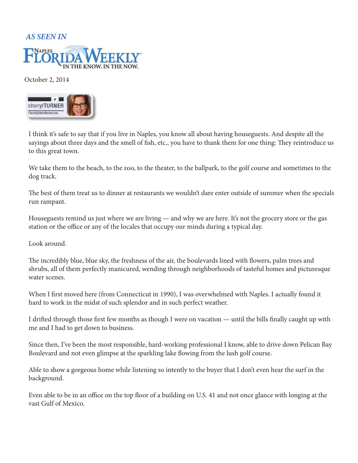## *AS SEEN IN*

October 2, 2014



I think it's safe to say that if you live in Naples, you know all about having houseguests. And despite all the sayings about three days and the smell of fish, etc., you have to thank them for one thing: They reintroduce us to this great town.

We take them to the beach, to the zoo, to the theater, to the ballpark, to the golf course and sometimes to the dog track.

The best of them treat us to dinner at restaurants we wouldn't dare enter outside of summer when the specials run rampant.

Houseguests remind us just where we are living — and why we are here. It's not the grocery store or the gas station or the office or any of the locales that occupy our minds during a typical day.

Look around.

The incredibly blue, blue sky, the freshness of the air, the boulevards lined with flowers, palm trees and shrubs, all of them perfectly manicured, wending through neighborhoods of tasteful homes and picturesque water scenes.

When I first moved here (from Connecticut in 1990), I was overwhelmed with Naples. I actually found it hard to work in the midst of such splendor and in such perfect weather.

I drifted through those first few months as though I were on vacation — until the bills finally caught up with me and I had to get down to business.

Since then, I've been the most responsible, hard-working professional I know, able to drive down Pelican Bay Boulevard and not even glimpse at the sparkling lake flowing from the lush golf course.

Able to show a gorgeous home while listening so intently to the buyer that I don't even hear the surf in the background.

Even able to be in an office on the top floor of a building on U.S. 41 and not once glance with longing at the vast Gulf of Mexico.